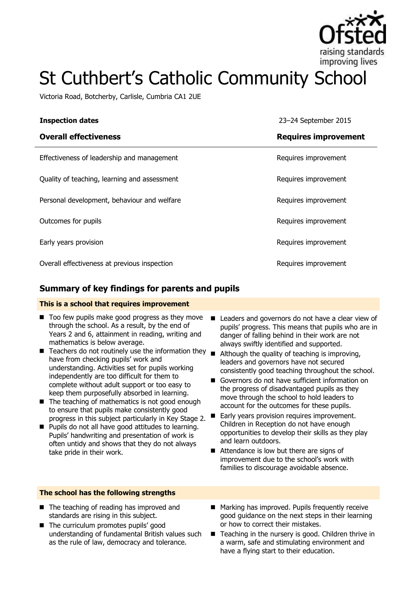

# St Cuthbert's Catholic Community School

Victoria Road, Botcherby, Carlisle, Cumbria CA1 2UE

| <b>Inspection dates</b>                      | 23-24 September 2015        |
|----------------------------------------------|-----------------------------|
| <b>Overall effectiveness</b>                 | <b>Requires improvement</b> |
| Effectiveness of leadership and management   | Requires improvement        |
| Quality of teaching, learning and assessment | Requires improvement        |
| Personal development, behaviour and welfare  | Requires improvement        |
| Outcomes for pupils                          | Requires improvement        |
| Early years provision                        | Requires improvement        |
| Overall effectiveness at previous inspection | Requires improvement        |

# **Summary of key findings for parents and pupils**

#### **This is a school that requires improvement**

- $\blacksquare$  Too few pupils make good progress as they move through the school. As a result, by the end of Years 2 and 6, attainment in reading, writing and mathematics is below average.
- $\blacksquare$  Teachers do not routinely use the information they have from checking pupils' work and understanding. Activities set for pupils working independently are too difficult for them to complete without adult support or too easy to keep them purposefully absorbed in learning.
- $\blacksquare$  The teaching of mathematics is not good enough to ensure that pupils make consistently good progress in this subject particularly in Key Stage 2.
- **Pupils do not all have good attitudes to learning.** Pupils' handwriting and presentation of work is often untidy and shows that they do not always take pride in their work.
- Leaders and governors do not have a clear view of pupils' progress. This means that pupils who are in danger of falling behind in their work are not always swiftly identified and supported.
- $\blacksquare$  Although the quality of teaching is improving, leaders and governors have not secured consistently good teaching throughout the school.
- Governors do not have sufficient information on the progress of disadvantaged pupils as they move through the school to hold leaders to account for the outcomes for these pupils.
- Early years provision requires improvement. Children in Reception do not have enough opportunities to develop their skills as they play and learn outdoors.
- Attendance is low but there are signs of improvement due to the school's work with families to discourage avoidable absence.

#### **The school has the following strengths**

- The teaching of reading has improved and standards are rising in this subject.
- The curriculum promotes pupils' good understanding of fundamental British values such as the rule of law, democracy and tolerance.
- Marking has improved. Pupils frequently receive good guidance on the next steps in their learning or how to correct their mistakes.
- Teaching in the nursery is good. Children thrive in a warm, safe and stimulating environment and have a flying start to their education.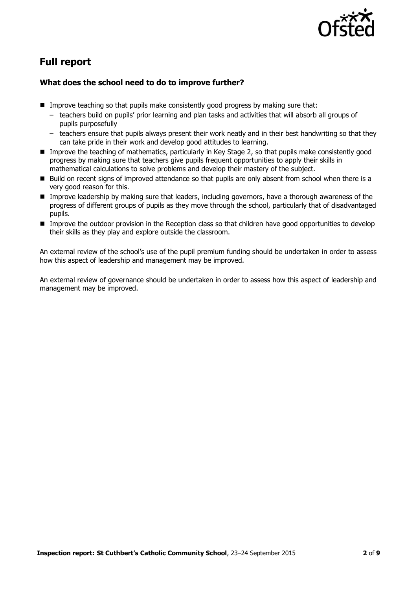

# **Full report**

### **What does the school need to do to improve further?**

- $\blacksquare$  Improve teaching so that pupils make consistently good progress by making sure that:
	- teachers build on pupils' prior learning and plan tasks and activities that will absorb all groups of pupils purposefully
	- teachers ensure that pupils always present their work neatly and in their best handwriting so that they can take pride in their work and develop good attitudes to learning.
- Improve the teaching of mathematics, particularly in Key Stage 2, so that pupils make consistently good progress by making sure that teachers give pupils frequent opportunities to apply their skills in mathematical calculations to solve problems and develop their mastery of the subject.
- Build on recent signs of improved attendance so that pupils are only absent from school when there is a very good reason for this.
- Improve leadership by making sure that leaders, including governors, have a thorough awareness of the progress of different groups of pupils as they move through the school, particularly that of disadvantaged pupils.
- Improve the outdoor provision in the Reception class so that children have good opportunities to develop their skills as they play and explore outside the classroom.

An external review of the school's use of the pupil premium funding should be undertaken in order to assess how this aspect of leadership and management may be improved.

An external review of governance should be undertaken in order to assess how this aspect of leadership and management may be improved.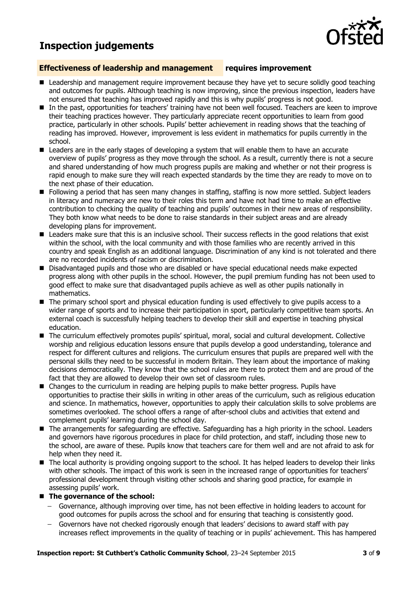# **Inspection judgements**



#### **Effectiveness of leadership and management requires improvement**

- **E** Leadership and management require improvement because they have yet to secure solidly good teaching and outcomes for pupils. Although teaching is now improving, since the previous inspection, leaders have not ensured that teaching has improved rapidly and this is why pupils' progress is not good.
- In the past, opportunities for teachers' training have not been well focused. Teachers are keen to improve their teaching practices however. They particularly appreciate recent opportunities to learn from good practice, particularly in other schools. Pupils' better achievement in reading shows that the teaching of reading has improved. However, improvement is less evident in mathematics for pupils currently in the school.
- **E** Leaders are in the early stages of developing a system that will enable them to have an accurate overview of pupils' progress as they move through the school. As a result, currently there is not a secure and shared understanding of how much progress pupils are making and whether or not their progress is rapid enough to make sure they will reach expected standards by the time they are ready to move on to the next phase of their education.
- Following a period that has seen many changes in staffing, staffing is now more settled. Subject leaders in literacy and numeracy are new to their roles this term and have not had time to make an effective contribution to checking the quality of teaching and pupils' outcomes in their new areas of responsibility. They both know what needs to be done to raise standards in their subject areas and are already developing plans for improvement.
- **E** Leaders make sure that this is an inclusive school. Their success reflects in the good relations that exist within the school, with the local community and with those families who are recently arrived in this country and speak English as an additional language. Discrimination of any kind is not tolerated and there are no recorded incidents of racism or discrimination.
- **Disadvantaged pupils and those who are disabled or have special educational needs make expected** progress along with other pupils in the school. However, the pupil premium funding has not been used to good effect to make sure that disadvantaged pupils achieve as well as other pupils nationally in mathematics.
- $\blacksquare$  The primary school sport and physical education funding is used effectively to give pupils access to a wider range of sports and to increase their participation in sport, particularly competitive team sports. An external coach is successfully helping teachers to develop their skill and expertise in teaching physical education.
- The curriculum effectively promotes pupils' spiritual, moral, social and cultural development. Collective worship and religious education lessons ensure that pupils develop a good understanding, tolerance and respect for different cultures and religions. The curriculum ensures that pupils are prepared well with the personal skills they need to be successful in modern Britain. They learn about the importance of making decisions democratically. They know that the school rules are there to protect them and are proud of the fact that they are allowed to develop their own set of classroom rules.
- **E** Changes to the curriculum in reading are helping pupils to make better progress. Pupils have opportunities to practise their skills in writing in other areas of the curriculum, such as religious education and science. In mathematics, however, opportunities to apply their calculation skills to solve problems are sometimes overlooked. The school offers a range of after-school clubs and activities that extend and complement pupils' learning during the school day.
- The arrangements for safeguarding are effective. Safeguarding has a high priority in the school. Leaders and governors have rigorous procedures in place for child protection, and staff, including those new to the school, are aware of these. Pupils know that teachers care for them well and are not afraid to ask for help when they need it.
- The local authority is providing ongoing support to the school. It has helped leaders to develop their links with other schools. The impact of this work is seen in the increased range of opportunities for teachers' professional development through visiting other schools and sharing good practice, for example in assessing pupils' work.

#### ■ The governance of the school:

- Governance, although improving over time, has not been effective in holding leaders to account for good outcomes for pupils across the school and for ensuring that teaching is consistently good.
- Governors have not checked rigorously enough that leaders' decisions to award staff with pay increases reflect improvements in the quality of teaching or in pupils' achievement. This has hampered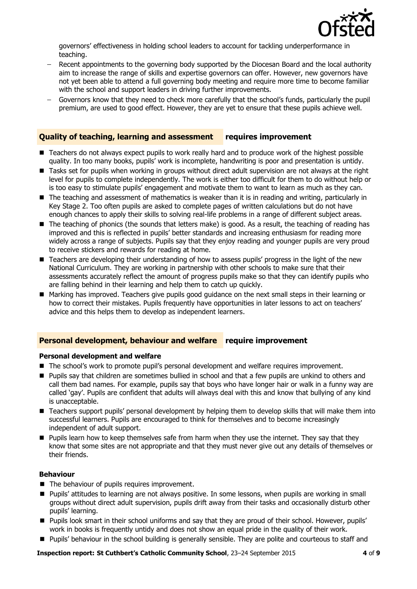

governors' effectiveness in holding school leaders to account for tackling underperformance in teaching.

- Recent appointments to the governing body supported by the Diocesan Board and the local authority  $\equiv$ aim to increase the range of skills and expertise governors can offer. However, new governors have not yet been able to attend a full governing body meeting and require more time to become familiar with the school and support leaders in driving further improvements.
- Governors know that they need to check more carefully that the school's funds, particularly the pupil premium, are used to good effect. However, they are yet to ensure that these pupils achieve well.

### **Quality of teaching, learning and assessment requires improvement**

- Teachers do not always expect pupils to work really hard and to produce work of the highest possible quality. In too many books, pupils' work is incomplete, handwriting is poor and presentation is untidy.
- Tasks set for pupils when working in groups without direct adult supervision are not always at the right level for pupils to complete independently. The work is either too difficult for them to do without help or is too easy to stimulate pupils' engagement and motivate them to want to learn as much as they can.
- The teaching and assessment of mathematics is weaker than it is in reading and writing, particularly in Key Stage 2. Too often pupils are asked to complete pages of written calculations but do not have enough chances to apply their skills to solving real-life problems in a range of different subject areas.
- The teaching of phonics (the sounds that letters make) is good. As a result, the teaching of reading has improved and this is reflected in pupils' better standards and increasing enthusiasm for reading more widely across a range of subjects. Pupils say that they enjoy reading and younger pupils are very proud to receive stickers and rewards for reading at home.
- Teachers are developing their understanding of how to assess pupils' progress in the light of the new National Curriculum. They are working in partnership with other schools to make sure that their assessments accurately reflect the amount of progress pupils make so that they can identify pupils who are falling behind in their learning and help them to catch up quickly.
- Marking has improved. Teachers give pupils good guidance on the next small steps in their learning or how to correct their mistakes. Pupils frequently have opportunities in later lessons to act on teachers' advice and this helps them to develop as independent learners.

#### **Personal development, behaviour and welfare require improvement**

#### **Personal development and welfare**

- The school's work to promote pupil's personal development and welfare requires improvement.
- **Pupils say that children are sometimes bullied in school and that a few pupils are unkind to others and** call them bad names. For example, pupils say that boys who have longer hair or walk in a funny way are called 'gay'. Pupils are confident that adults will always deal with this and know that bullying of any kind is unacceptable.
- Teachers support pupils' personal development by helping them to develop skills that will make them into successful learners. Pupils are encouraged to think for themselves and to become increasingly independent of adult support.
- **Pupils learn how to keep themselves safe from harm when they use the internet. They say that they** know that some sites are not appropriate and that they must never give out any details of themselves or their friends.

#### **Behaviour**

- The behaviour of pupils requires improvement.
- Pupils' attitudes to learning are not always positive. In some lessons, when pupils are working in small groups without direct adult supervision, pupils drift away from their tasks and occasionally disturb other pupils' learning.
- Pupils look smart in their school uniforms and say that they are proud of their school. However, pupils' work in books is frequently untidy and does not show an equal pride in the quality of their work.
- **Pupils' behaviour in the school building is generally sensible. They are polite and courteous to staff and**

**Inspection report: St Cuthbert's Catholic Community School**, 23–24 September 2015 **4** of **9**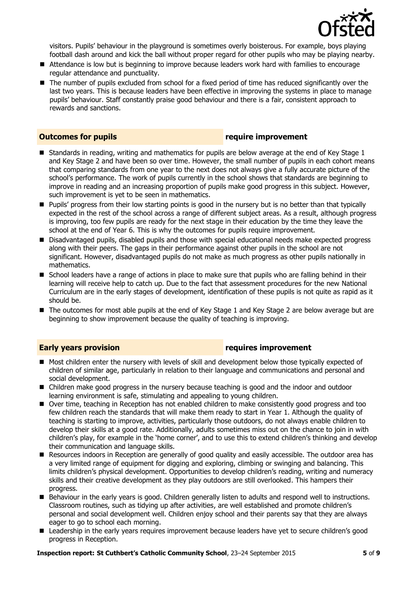

visitors. Pupils' behaviour in the playground is sometimes overly boisterous. For example, boys playing football dash around and kick the ball without proper regard for other pupils who may be playing nearby.

- Attendance is low but is beginning to improve because leaders work hard with families to encourage regular attendance and punctuality.
- The number of pupils excluded from school for a fixed period of time has reduced significantly over the last two years. This is because leaders have been effective in improving the systems in place to manage pupils' behaviour. Staff constantly praise good behaviour and there is a fair, consistent approach to rewards and sanctions.

### **Outcomes for pupils require improvement**

- $\blacksquare$  Standards in reading, writing and mathematics for pupils are below average at the end of Key Stage 1 and Key Stage 2 and have been so over time. However, the small number of pupils in each cohort means that comparing standards from one year to the next does not always give a fully accurate picture of the school's performance. The work of pupils currently in the school shows that standards are beginning to improve in reading and an increasing proportion of pupils make good progress in this subject. However, such improvement is yet to be seen in mathematics.
- Pupils' progress from their low starting points is good in the nursery but is no better than that typically expected in the rest of the school across a range of different subject areas. As a result, although progress is improving, too few pupils are ready for the next stage in their education by the time they leave the school at the end of Year 6. This is why the outcomes for pupils require improvement.
- **Disadvantaged pupils, disabled pupils and those with special educational needs make expected progress** along with their peers. The gaps in their performance against other pupils in the school are not significant. However, disadvantaged pupils do not make as much progress as other pupils nationally in mathematics.
- $\blacksquare$  School leaders have a range of actions in place to make sure that pupils who are falling behind in their learning will receive help to catch up. Due to the fact that assessment procedures for the new National Curriculum are in the early stages of development, identification of these pupils is not quite as rapid as it should be.
- The outcomes for most able pupils at the end of Key Stage 1 and Key Stage 2 are below average but are beginning to show improvement because the quality of teaching is improving.

### **Early years provision requires improvement**

- Most children enter the nursery with levels of skill and development below those typically expected of children of similar age, particularly in relation to their language and communications and personal and social development.
- Children make good progress in the nursery because teaching is good and the indoor and outdoor learning environment is safe, stimulating and appealing to young children.
- Over time, teaching in Reception has not enabled children to make consistently good progress and too few children reach the standards that will make them ready to start in Year 1. Although the quality of teaching is starting to improve, activities, particularly those outdoors, do not always enable children to develop their skills at a good rate. Additionally, adults sometimes miss out on the chance to join in with children's play, for example in the 'home corner', and to use this to extend children's thinking and develop their communication and language skills.
- Resources indoors in Reception are generally of good quality and easily accessible. The outdoor area has a very limited range of equipment for digging and exploring, climbing or swinging and balancing. This limits children's physical development. Opportunities to develop children's reading, writing and numeracy skills and their creative development as they play outdoors are still overlooked. This hampers their progress.
- Behaviour in the early years is good. Children generally listen to adults and respond well to instructions. Classroom routines, such as tidying up after activities, are well established and promote children's personal and social development well. Children enjoy school and their parents say that they are always eager to go to school each morning.
- **E** Leadership in the early years requires improvement because leaders have yet to secure children's good progress in Reception.

#### **Inspection report: St Cuthbert's Catholic Community School**, 23–24 September 2015 **5** of **9**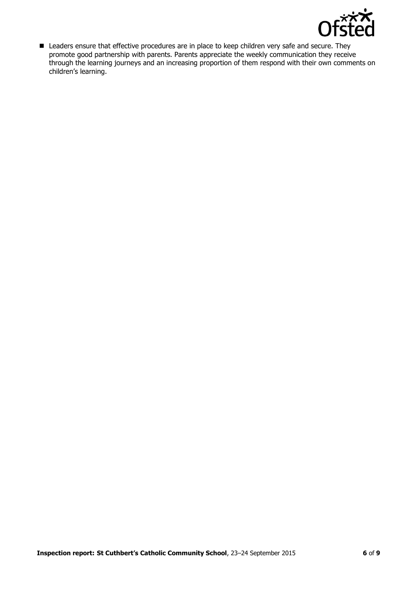

■ Leaders ensure that effective procedures are in place to keep children very safe and secure. They promote good partnership with parents. Parents appreciate the weekly communication they receive through the learning journeys and an increasing proportion of them respond with their own comments on children's learning.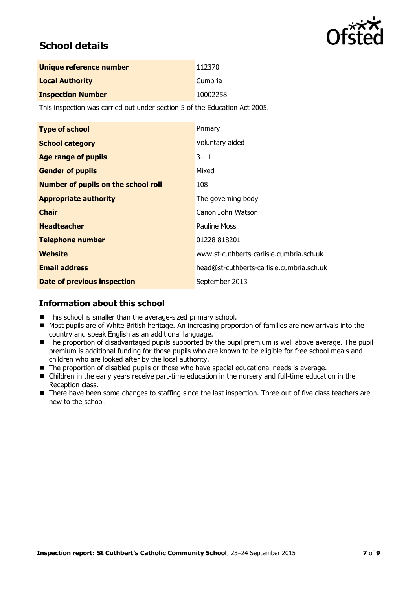

# **School details**

| Unique reference number  | 112370   |
|--------------------------|----------|
| <b>Local Authority</b>   | Cumbria  |
| <b>Inspection Number</b> | 10002258 |

This inspection was carried out under section 5 of the Education Act 2005.

| <b>Type of school</b>                      | Primary                                   |
|--------------------------------------------|-------------------------------------------|
| <b>School category</b>                     | Voluntary aided                           |
| <b>Age range of pupils</b>                 | $3 - 11$                                  |
| <b>Gender of pupils</b>                    | Mixed                                     |
| <b>Number of pupils on the school roll</b> | 108                                       |
| <b>Appropriate authority</b>               | The governing body                        |
| <b>Chair</b>                               | Canon John Watson                         |
| <b>Headteacher</b>                         | Pauline Moss                              |
| <b>Telephone number</b>                    | 01228 818201                              |
| Website                                    | www.st-cuthberts-carlisle.cumbria.sch.uk  |
| <b>Email address</b>                       | head@st-cuthberts-carlisle.cumbria.sch.uk |
| <b>Date of previous inspection</b>         | September 2013                            |

# **Information about this school**

- This school is smaller than the average-sized primary school.
- Most pupils are of White British heritage. An increasing proportion of families are new arrivals into the country and speak English as an additional language.
- $\blacksquare$  The proportion of disadvantaged pupils supported by the pupil premium is well above average. The pupil premium is additional funding for those pupils who are known to be eligible for free school meals and children who are looked after by the local authority.
- The proportion of disabled pupils or those who have special educational needs is average.
- Children in the early years receive part-time education in the nursery and full-time education in the Reception class.
- There have been some changes to staffing since the last inspection. Three out of five class teachers are new to the school.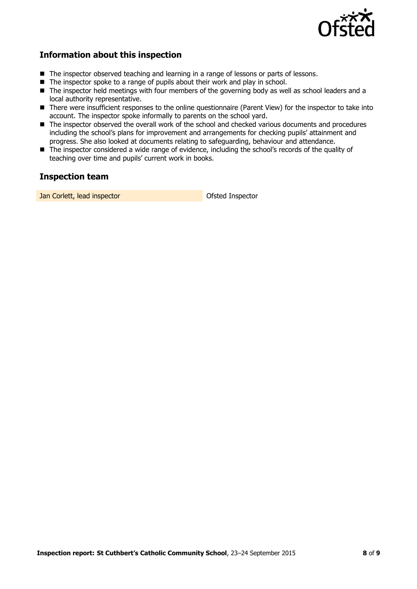

# **Information about this inspection**

- The inspector observed teaching and learning in a range of lessons or parts of lessons.
- $\blacksquare$  The inspector spoke to a range of pupils about their work and play in school.
- The inspector held meetings with four members of the governing body as well as school leaders and a local authority representative.
- There were insufficient responses to the online questionnaire (Parent View) for the inspector to take into account. The inspector spoke informally to parents on the school yard.
- The inspector observed the overall work of the school and checked various documents and procedures including the school's plans for improvement and arrangements for checking pupils' attainment and progress. She also looked at documents relating to safeguarding, behaviour and attendance.
- The inspector considered a wide range of evidence, including the school's records of the quality of teaching over time and pupils' current work in books.

# **Inspection team**

**Jan Corlett, lead inspector Corresponding Corresponding Corresponding Corresponding Corresponding Corresponding Corresponding Corresponding Corresponding Corresponding Corresponding Corresponding Corresponding Correspondi**